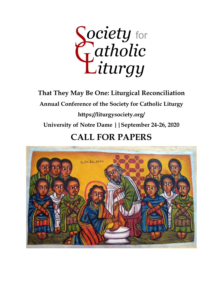Society for<br>Catholic<br>Liturgy

**That They May Be One: Liturgical Reconciliation Annual Conference of the Society for Catholic Liturgy https://liturgysociety.org/ University of Notre Dame ||September 24-26, 2020**

## **CALL FOR PAPERS**

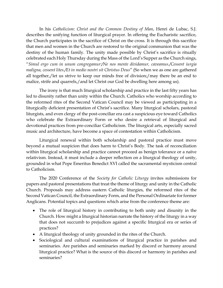In his *Catholicism: Christ and the Common Destiny of Man*, Henri de Lubac, S.J. describes the unifying function of liturgical prayer. In offering the Eucharistic sacrifice, the Church participates in the sacrifice of Christ on the cross. It is through this sacrifice that men and women in the Church are restored to the original communion that was the destiny of the human family. The unity made possible by Christ's sacrifice is ritually celebrated each Holy Thursday during the Mass of the Lord's Supper as the Church sings, "*Simul ergo cum in unum congregamur:/Ne nos mente dividamur, caveamus./Cessent iurgia maligna, cessent lites./Et in medio nostri sit Christus Deus*" (So when we as one are gathered all together,/let us strive to keep our minds free of division;/may there be an end to malice, strife and quarrels,/and let Christ our God be dwelling here among us).

The irony is that much liturgical scholarship and practice in the last fifty years has led to disunity rather than unity within the Church. Catholics who worship according to the reformed rites of the Second Vatican Council may be viewed as participating in a liturgically deficient presentation of Christ's sacrifice. Many liturgical scholars, pastoral liturgists, and even clergy of the post-conciliar era cast a suspicious eye toward Catholics who celebrate the Extraordinary Form or who desire a retrieval of liturgical and devotional practices from pre-conciliar Catholicism. The liturgical arts, especially sacred music and architecture, have become a space of contestation within Catholicism.

Liturgical renewal within both scholarship and pastoral practice must move beyond a mutual suspicion that does harm to Christ's Body. The task of reconciliation within liturgical scholarship and practice cannot proceed as benign tolerance or a naïve relativism. Instead, it must include a deeper reflection on a liturgical theology of unity, grounded in what Pope Emeritus Benedict XVI called the sacramental mysticism central to Catholicism.

The 2020 Conference of the *Society for Catholic Liturgy* invites submissions for papers and pastoral presentations that treat the theme of liturgy and unity in the Catholic Church. Proposals may address eastern Catholic liturgies, the reformed rites of the Second Vatican Council, the Extraordinary Form, and the Personal Ordinariate for former Anglicans. Potential topics and questions which arise from the conference theme are:

- The role of liturgical history in contributing to both unity and disunity in the Church. How might a liturgical historian narrate the history of the liturgy in a way that does not succumb to prejudices against a specific liturgical era or series of practices?
- A liturgical theology of unity grounded in the rites of the Church.
- Sociological and cultural examinations of liturgical practice in parishes and seminaries. Are parishes and seminaries marked by discord or harmony around liturgical practice? What is the source of this discord or harmony in parishes and seminaries?